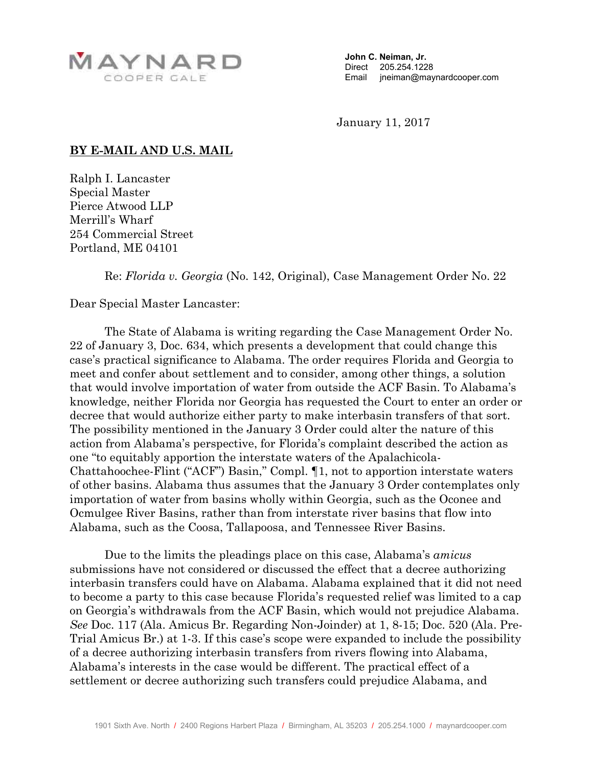

**John C. Neiman, Jr.**  Direct 205.254.1228 Email jneiman@maynardcooper.com

January 11, 2017

## **BY E-MAIL AND U.S. MAIL**

Ralph I. Lancaster Special Master Pierce Atwood LLP Merrill's Wharf 254 Commercial Street Portland, ME 04101

Re: *Florida v. Georgia* (No. 142, Original), Case Management Order No. 22

Dear Special Master Lancaster:

The State of Alabama is writing regarding the Case Management Order No. 22 of January 3, Doc. 634, which presents a development that could change this case's practical significance to Alabama. The order requires Florida and Georgia to meet and confer about settlement and to consider, among other things, a solution that would involve importation of water from outside the ACF Basin. To Alabama's knowledge, neither Florida nor Georgia has requested the Court to enter an order or decree that would authorize either party to make interbasin transfers of that sort. The possibility mentioned in the January 3 Order could alter the nature of this action from Alabama's perspective, for Florida's complaint described the action as one "to equitably apportion the interstate waters of the Apalachicola-Chattahoochee-Flint ("ACF") Basin," Compl. ¶1, not to apportion interstate waters of other basins. Alabama thus assumes that the January 3 Order contemplates only importation of water from basins wholly within Georgia, such as the Oconee and Ocmulgee River Basins, rather than from interstate river basins that flow into Alabama, such as the Coosa, Tallapoosa, and Tennessee River Basins.

Due to the limits the pleadings place on this case, Alabama's *amicus*  submissions have not considered or discussed the effect that a decree authorizing interbasin transfers could have on Alabama. Alabama explained that it did not need to become a party to this case because Florida's requested relief was limited to a cap on Georgia's withdrawals from the ACF Basin, which would not prejudice Alabama. *See* Doc. 117 (Ala. Amicus Br. Regarding Non-Joinder) at 1, 8-15; Doc. 520 (Ala. Pre-Trial Amicus Br.) at 1-3. If this case's scope were expanded to include the possibility of a decree authorizing interbasin transfers from rivers flowing into Alabama, Alabama's interests in the case would be different. The practical effect of a settlement or decree authorizing such transfers could prejudice Alabama, and